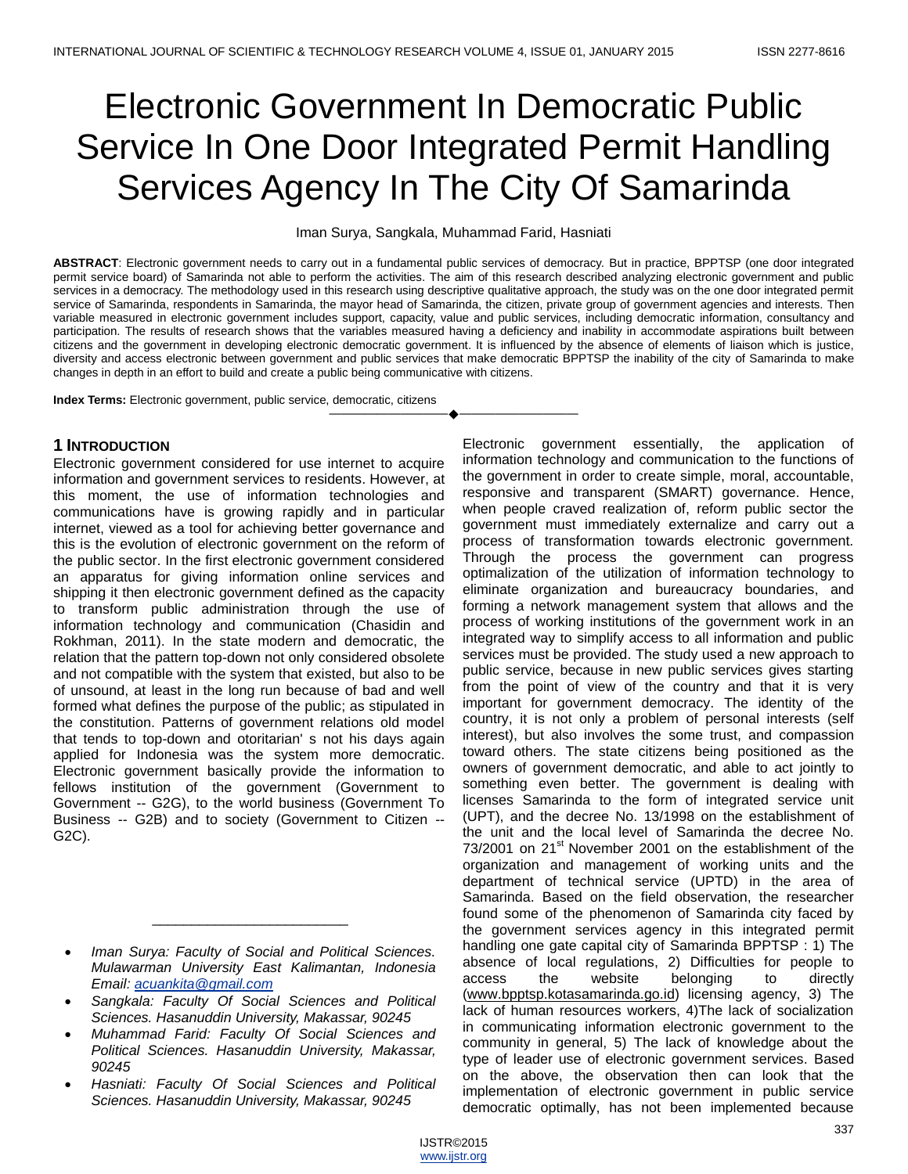# Electronic Government In Democratic Public Service In One Door Integrated Permit Handling Services Agency In The City Of Samarinda

Iman Surya, Sangkala, Muhammad Farid, Hasniati

**ABSTRACT**: Electronic government needs to carry out in a fundamental public services of democracy. But in practice, BPPTSP (one door integrated permit service board) of Samarinda not able to perform the activities. The aim of this research described analyzing electronic government and public services in a democracy. The methodology used in this research using descriptive qualitative approach, the study was on the one door integrated permit service of Samarinda, respondents in Samarinda, the mayor head of Samarinda, the citizen, private group of government agencies and interests. Then variable measured in electronic government includes support, capacity, value and public services, including democratic information, consultancy and participation. The results of research shows that the variables measured having a deficiency and inability in accommodate aspirations built between citizens and the government in developing electronic democratic government. It is influenced by the absence of elements of liaison which is justice, diversity and access electronic between government and public services that make democratic BPPTSP the inability of the city of Samarinda to make changes in depth in an effort to build and create a public being communicative with citizens.

————————————————————

**Index Terms:** Electronic government, public service, democratic, citizens

# **1 INTRODUCTION**

Electronic government considered for use internet to acquire information and government services to residents. However, at this moment, the use of information technologies and communications have is growing rapidly and in particular internet, viewed as a tool for achieving better governance and this is the evolution of electronic government on the reform of the public sector. In the first electronic government considered an apparatus for giving information online services and shipping it then electronic government defined as the capacity to transform public administration through the use of information technology and communication (Chasidin and Rokhman, 2011). In the state modern and democratic, the relation that the pattern top-down not only considered obsolete and not compatible with the system that existed, but also to be of unsound, at least in the long run because of bad and well formed what defines the purpose of the public; as stipulated in the constitution. Patterns of government relations old model that tends to top-down and otoritarian' s not his days again applied for Indonesia was the system more democratic. Electronic government basically provide the information to fellows institution of the government (Government to Government -- G2G), to the world business (Government To Business -- G2B) and to society (Government to Citizen -- G2C).

\_\_\_\_\_\_\_\_\_\_\_\_\_\_\_\_\_\_\_\_\_\_\_\_\_

- *Sangkala: Faculty Of Social Sciences and Political Sciences. Hasanuddin University, Makassar, 90245*
- *Muhammad Farid: Faculty Of Social Sciences and Political Sciences. Hasanuddin University, Makassar, 90245*
- *Hasniati: Faculty Of Social Sciences and Political Sciences. Hasanuddin University, Makassar, 90245*

Electronic government essentially, the application of information technology and communication to the functions of the government in order to create simple, moral, accountable, responsive and transparent (SMART) governance. Hence, when people craved realization of, reform public sector the government must immediately externalize and carry out a process of transformation towards electronic government. Through the process the government can progress optimalization of the utilization of information technology to eliminate organization and bureaucracy boundaries, and forming a network management system that allows and the process of working institutions of the government work in an integrated way to simplify access to all information and public services must be provided. The study used a new approach to public service, because in new public services gives starting from the point of view of the country and that it is very important for government democracy. The identity of the country, it is not only a problem of personal interests (self interest), but also involves the some trust, and compassion toward others. The state citizens being positioned as the owners of government democratic, and able to act jointly to something even better. The government is dealing with licenses Samarinda to the form of integrated service unit (UPT), and the decree No. 13/1998 on the establishment of the unit and the local level of Samarinda the decree No.  $73/2001$  on  $21<sup>st</sup>$  November 2001 on the establishment of the organization and management of working units and the department of technical service (UPTD) in the area of Samarinda. Based on the field observation, the researcher found some of the phenomenon of Samarinda city faced by the government services agency in this integrated permit handling one gate capital city of Samarinda BPPTSP : 1) The absence of local regulations, 2) Difficulties for people to access the website belonging to directly [\(www.bpptsp.kotasamarinda.go.id\)](http://www.bpptsp.kotasamarinda.go.id/) licensing agency, 3) The lack of human resources workers, 4)The lack of socialization in communicating information electronic government to the community in general, 5) The lack of knowledge about the type of leader use of electronic government services. Based on the above, the observation then can look that the implementation of electronic government in public service democratic optimally, has not been implemented because

*Iman Surya: Faculty of Social and Political Sciences. Mulawarman University East Kalimantan, Indonesia Email[: acuankita@gmail.com](mailto:acuankita@gmail.com)*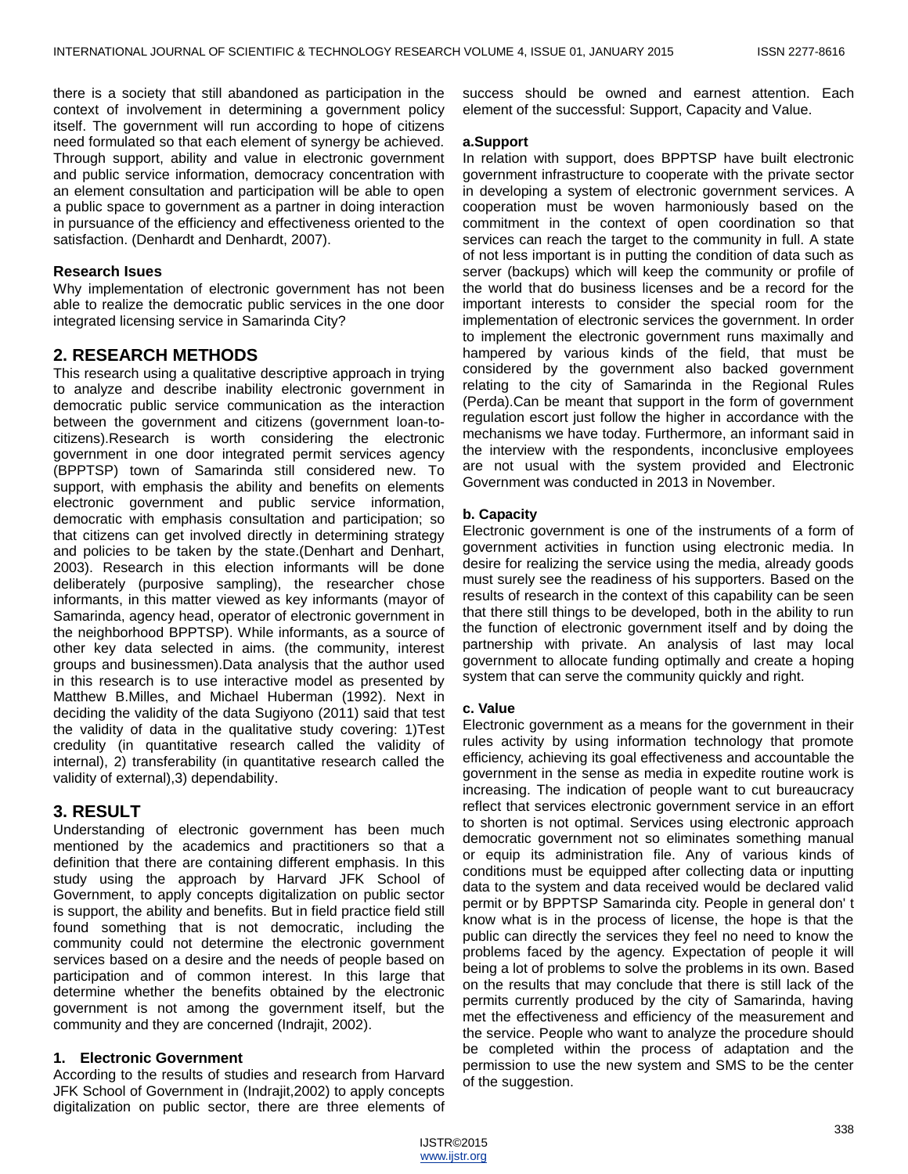there is a society that still abandoned as participation in the context of involvement in determining a government policy itself. The government will run according to hope of citizens need formulated so that each element of synergy be achieved. Through support, ability and value in electronic government and public service information, democracy concentration with an element consultation and participation will be able to open a public space to government as a partner in doing interaction in pursuance of the efficiency and effectiveness oriented to the satisfaction. (Denhardt and Denhardt, 2007).

## **Research Isues**

Why implementation of electronic government has not been able to realize the democratic public services in the one door integrated licensing service in Samarinda City?

# **2. RESEARCH METHODS**

This research using a qualitative descriptive approach in trying to analyze and describe inability electronic government in democratic public service communication as the interaction between the government and citizens (government loan-tocitizens).Research is worth considering the electronic government in one door integrated permit services agency (BPPTSP) town of Samarinda still considered new. To support, with emphasis the ability and benefits on elements electronic government and public service information, democratic with emphasis consultation and participation; so that citizens can get involved directly in determining strategy and policies to be taken by the state.(Denhart and Denhart, 2003). Research in this election informants will be done deliberately (purposive sampling), the researcher chose informants, in this matter viewed as key informants (mayor of Samarinda, agency head, operator of electronic government in the neighborhood BPPTSP). While informants, as a source of other key data selected in aims. (the community, interest groups and businessmen).Data analysis that the author used in this research is to use interactive model as presented by Matthew B.Milles, and Michael Huberman (1992). Next in deciding the validity of the data Sugiyono (2011) said that test the validity of data in the qualitative study covering: 1)Test credulity (in quantitative research called the validity of internal), 2) transferability (in quantitative research called the validity of external),3) dependability.

# **3. RESULT**

Understanding of electronic government has been much mentioned by the academics and practitioners so that a definition that there are containing different emphasis. In this study using the approach by Harvard JFK School of Government, to apply concepts digitalization on public sector is support, the ability and benefits. But in field practice field still found something that is not democratic, including the community could not determine the electronic government services based on a desire and the needs of people based on participation and of common interest. In this large that determine whether the benefits obtained by the electronic government is not among the government itself, but the community and they are concerned (Indrajit, 2002).

# **1. Electronic Government**

According to the results of studies and research from Harvard JFK School of Government in (Indrajit,2002) to apply concepts digitalization on public sector, there are three elements of success should be owned and earnest attention. Each element of the successful: Support, Capacity and Value.

#### **a.Support**

In relation with support, does BPPTSP have built electronic government infrastructure to cooperate with the private sector in developing a system of electronic government services. A cooperation must be woven harmoniously based on the commitment in the context of open coordination so that services can reach the target to the community in full. A state of not less important is in putting the condition of data such as server (backups) which will keep the community or profile of the world that do business licenses and be a record for the important interests to consider the special room for the implementation of electronic services the government. In order to implement the electronic government runs maximally and hampered by various kinds of the field, that must be considered by the government also backed government relating to the city of Samarinda in the Regional Rules (Perda).Can be meant that support in the form of government regulation escort just follow the higher in accordance with the mechanisms we have today. Furthermore, an informant said in the interview with the respondents, inconclusive employees are not usual with the system provided and Electronic Government was conducted in 2013 in November.

# **b. Capacity**

Electronic government is one of the instruments of a form of government activities in function using electronic media. In desire for realizing the service using the media, already goods must surely see the readiness of his supporters. Based on the results of research in the context of this capability can be seen that there still things to be developed, both in the ability to run the function of electronic government itself and by doing the partnership with private. An analysis of last may local government to allocate funding optimally and create a hoping system that can serve the community quickly and right.

## **c. Value**

Electronic government as a means for the government in their rules activity by using information technology that promote efficiency, achieving its goal effectiveness and accountable the government in the sense as media in expedite routine work is increasing. The indication of people want to cut bureaucracy reflect that services electronic government service in an effort to shorten is not optimal. Services using electronic approach democratic government not so eliminates something manual or equip its administration file. Any of various kinds of conditions must be equipped after collecting data or inputting data to the system and data received would be declared valid permit or by BPPTSP Samarinda city. People in general don' t know what is in the process of license, the hope is that the public can directly the services they feel no need to know the problems faced by the agency. Expectation of people it will being a lot of problems to solve the problems in its own. Based on the results that may conclude that there is still lack of the permits currently produced by the city of Samarinda, having met the effectiveness and efficiency of the measurement and the service. People who want to analyze the procedure should be completed within the process of adaptation and the permission to use the new system and SMS to be the center of the suggestion.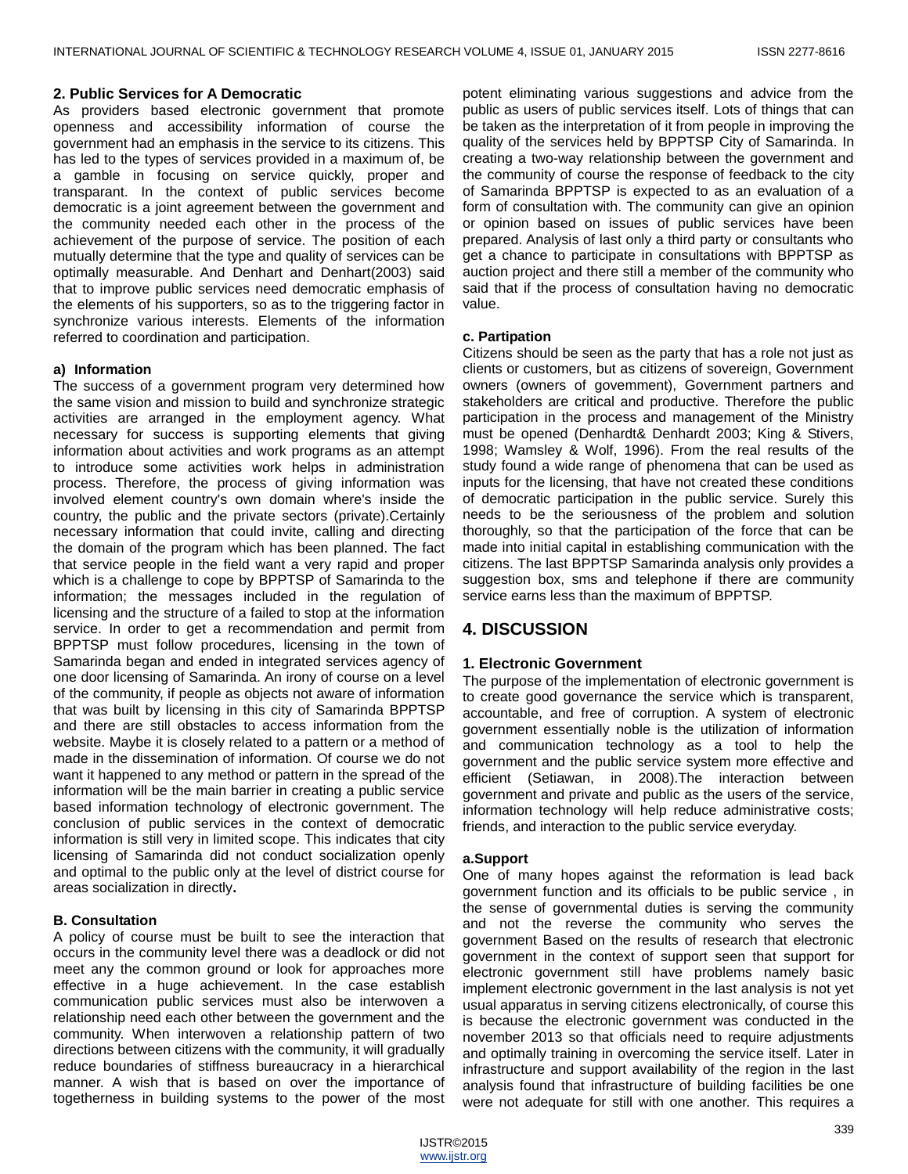# **2. Public Services for A Democratic**

As providers based electronic government that promote openness and accessibility information of course the government had an emphasis in the service to its citizens. This has led to the types of services provided in a maximum of, be a gamble in focusing on service quickly, proper and transparant. In the context of public services become democratic is a joint agreement between the government and the community needed each other in the process of the achievement of the purpose of service. The position of each mutually determine that the type and quality of services can be optimally measurable. And Denhart and Denhart(2003) said that to improve public services need democratic emphasis of the elements of his supporters, so as to the triggering factor in synchronize various interests. Elements of the information referred to coordination and participation.

# **a) Information**

The success of a government program very determined how the same vision and mission to build and synchronize strategic activities are arranged in the employment agency. What necessary for success is supporting elements that giving information about activities and work programs as an attempt to introduce some activities work helps in administration process. Therefore, the process of giving information was involved element country's own domain where's inside the country, the public and the private sectors (private).Certainly necessary information that could invite, calling and directing the domain of the program which has been planned. The fact that service people in the field want a very rapid and proper which is a challenge to cope by BPPTSP of Samarinda to the information; the messages included in the regulation of licensing and the structure of a failed to stop at the information service. In order to get a recommendation and permit from BPPTSP must follow procedures, licensing in the town of Samarinda began and ended in integrated services agency of one door licensing of Samarinda. An irony of course on a level of the community, if people as objects not aware of information that was built by licensing in this city of Samarinda BPPTSP and there are still obstacles to access information from the website. Maybe it is closely related to a pattern or a method of made in the dissemination of information. Of course we do not want it happened to any method or pattern in the spread of the information will be the main barrier in creating a public service based information technology of electronic government. The conclusion of public services in the context of democratic information is still very in limited scope. This indicates that city licensing of Samarinda did not conduct socialization openly and optimal to the public only at the level of district course for areas socialization in directly**.**

# **B. Consultation**

A policy of course must be built to see the interaction that occurs in the community level there was a deadlock or did not meet any the common ground or look for approaches more effective in a huge achievement. In the case establish communication public services must also be interwoven a relationship need each other between the government and the community. When interwoven a relationship pattern of two directions between citizens with the community, it will gradually reduce boundaries of stiffness bureaucracy in a hierarchical manner. A wish that is based on over the importance of togetherness in building systems to the power of the most

potent eliminating various suggestions and advice from the public as users of public services itself. Lots of things that can be taken as the interpretation of it from people in improving the quality of the services held by BPPTSP City of Samarinda. In creating a two-way relationship between the government and the community of course the response of feedback to the city of Samarinda BPPTSP is expected to as an evaluation of a form of consultation with. The community can give an opinion or opinion based on issues of public services have been prepared. Analysis of last only a third party or consultants who get a chance to participate in consultations with BPPTSP as auction project and there still a member of the community who said that if the process of consultation having no democratic value.

# **c. Partipation**

Citizens should be seen as the party that has a role not just as clients or customers, but as citizens of sovereign, Government owners (owners of govemment), Government partners and stakeholders are critical and productive. Therefore the public participation in the process and management of the Ministry must be opened (Denhardt& Denhardt 2003; King & Stivers, 1998; Wamsley & Wolf, 1996). From the real results of the study found a wide range of phenomena that can be used as inputs for the licensing, that have not created these conditions of democratic participation in the public service. Surely this needs to be the seriousness of the problem and solution thoroughly, so that the participation of the force that can be made into initial capital in establishing communication with the citizens. The last BPPTSP Samarinda analysis only provides a suggestion box, sms and telephone if there are community service earns less than the maximum of BPPTSP.

# **4. DISCUSSION**

# **1. Electronic Government**

The purpose of the implementation of electronic government is to create good governance the service which is transparent, accountable, and free of corruption. A system of electronic government essentially noble is the utilization of information and communication technology as a tool to help the government and the public service system more effective and efficient (Setiawan, in 2008).The interaction between government and private and public as the users of the service, information technology will help reduce administrative costs; friends, and interaction to the public service everyday.

# **a.Support**

One of many hopes against the reformation is lead back government function and its officials to be public service , in the sense of governmental duties is serving the community and not the reverse the community who serves the government Based on the results of research that electronic government in the context of support seen that support for electronic government still have problems namely basic implement electronic government in the last analysis is not yet usual apparatus in serving citizens electronically, of course this is because the electronic government was conducted in the november 2013 so that officials need to require adjustments and optimally training in overcoming the service itself. Later in infrastructure and support availability of the region in the last analysis found that infrastructure of building facilities be one were not adequate for still with one another. This requires a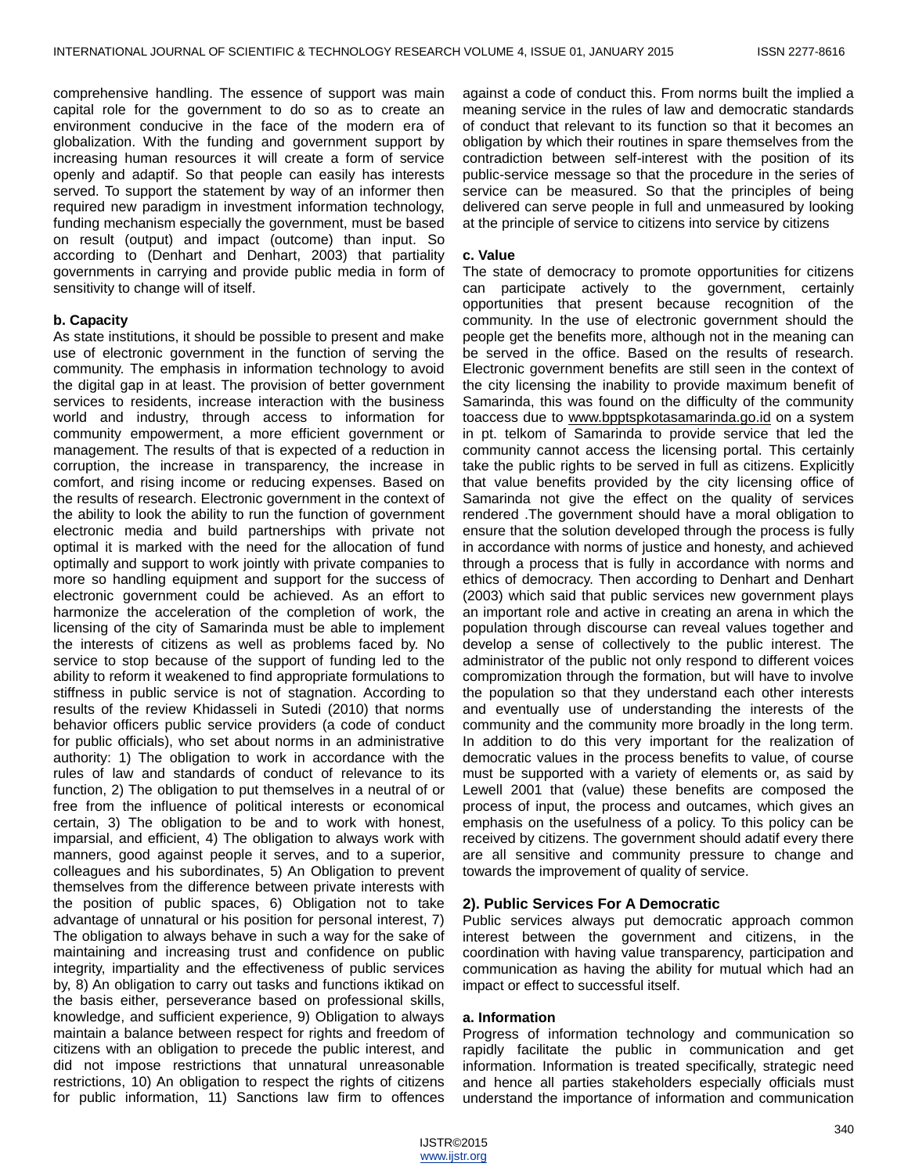comprehensive handling. The essence of support was main capital role for the government to do so as to create an environment conducive in the face of the modern era of globalization. With the funding and government support by increasing human resources it will create a form of service openly and adaptif. So that people can easily has interests served. To support the statement by way of an informer then required new paradigm in investment information technology, funding mechanism especially the government, must be based on result (output) and impact (outcome) than input. So according to (Denhart and Denhart, 2003) that partiality governments in carrying and provide public media in form of sensitivity to change will of itself.

# **b. Capacity**

As state institutions, it should be possible to present and make use of electronic government in the function of serving the community. The emphasis in information technology to avoid the digital gap in at least. The provision of better government services to residents, increase interaction with the business world and industry, through access to information for community empowerment, a more efficient government or management. The results of that is expected of a reduction in corruption, the increase in transparency, the increase in comfort, and rising income or reducing expenses. Based on the results of research. Electronic government in the context of the ability to look the ability to run the function of government electronic media and build partnerships with private not optimal it is marked with the need for the allocation of fund optimally and support to work jointly with private companies to more so handling equipment and support for the success of electronic government could be achieved. As an effort to harmonize the acceleration of the completion of work, the licensing of the city of Samarinda must be able to implement the interests of citizens as well as problems faced by. No service to stop because of the support of funding led to the ability to reform it weakened to find appropriate formulations to stiffness in public service is not of stagnation. According to results of the review Khidasseli in Sutedi (2010) that norms behavior officers public service providers (a code of conduct for public officials), who set about norms in an administrative authority: 1) The obligation to work in accordance with the rules of law and standards of conduct of relevance to its function, 2) The obligation to put themselves in a neutral of or free from the influence of political interests or economical certain, 3) The obligation to be and to work with honest, imparsial, and efficient, 4) The obligation to always work with manners, good against people it serves, and to a superior, colleagues and his subordinates, 5) An Obligation to prevent themselves from the difference between private interests with the position of public spaces, 6) Obligation not to take advantage of unnatural or his position for personal interest, 7) The obligation to always behave in such a way for the sake of maintaining and increasing trust and confidence on public integrity, impartiality and the effectiveness of public services by, 8) An obligation to carry out tasks and functions iktikad on the basis either, perseverance based on professional skills, knowledge, and sufficient experience, 9) Obligation to always maintain a balance between respect for rights and freedom of citizens with an obligation to precede the public interest, and did not impose restrictions that unnatural unreasonable restrictions, 10) An obligation to respect the rights of citizens for public information, 11) Sanctions law firm to offences

against a code of conduct this. From norms built the implied a meaning service in the rules of law and democratic standards of conduct that relevant to its function so that it becomes an obligation by which their routines in spare themselves from the contradiction between self-interest with the position of its public-service message so that the procedure in the series of service can be measured. So that the principles of being delivered can serve people in full and unmeasured by looking at the principle of service to citizens into service by citizens

### **c. Value**

The state of democracy to promote opportunities for citizens can participate actively to the government, certainly opportunities that present because recognition of the community. In the use of electronic government should the people get the benefits more, although not in the meaning can be served in the office. Based on the results of research. Electronic government benefits are still seen in the context of the city licensing the inability to provide maximum benefit of Samarinda, this was found on the difficulty of the community toaccess due to [www.bpptspkotasamarinda.go.id](http://www.bpptspkotasamarinda.go.id/) on a system in pt. telkom of Samarinda to provide service that led the community cannot access the licensing portal. This certainly take the public rights to be served in full as citizens. Explicitly that value benefits provided by the city licensing office of Samarinda not give the effect on the quality of services rendered .The government should have a moral obligation to ensure that the solution developed through the process is fully in accordance with norms of justice and honesty, and achieved through a process that is fully in accordance with norms and ethics of democracy. Then according to Denhart and Denhart (2003) which said that public services new government plays an important role and active in creating an arena in which the population through discourse can reveal values together and develop a sense of collectively to the public interest. The administrator of the public not only respond to different voices compromization through the formation, but will have to involve the population so that they understand each other interests and eventually use of understanding the interests of the community and the community more broadly in the long term. In addition to do this very important for the realization of democratic values in the process benefits to value, of course must be supported with a variety of elements or, as said by Lewell 2001 that (value) these benefits are composed the process of input, the process and outcames, which gives an emphasis on the usefulness of a policy. To this policy can be received by citizens. The government should adatif every there are all sensitive and community pressure to change and towards the improvement of quality of service.

# **2). Public Services For A Democratic**

Public services always put democratic approach common interest between the government and citizens, in the coordination with having value transparency, participation and communication as having the ability for mutual which had an impact or effect to successful itself.

#### **a. Information**

Progress of information technology and communication so rapidly facilitate the public in communication and get information. Information is treated specifically, strategic need and hence all parties stakeholders especially officials must understand the importance of information and communication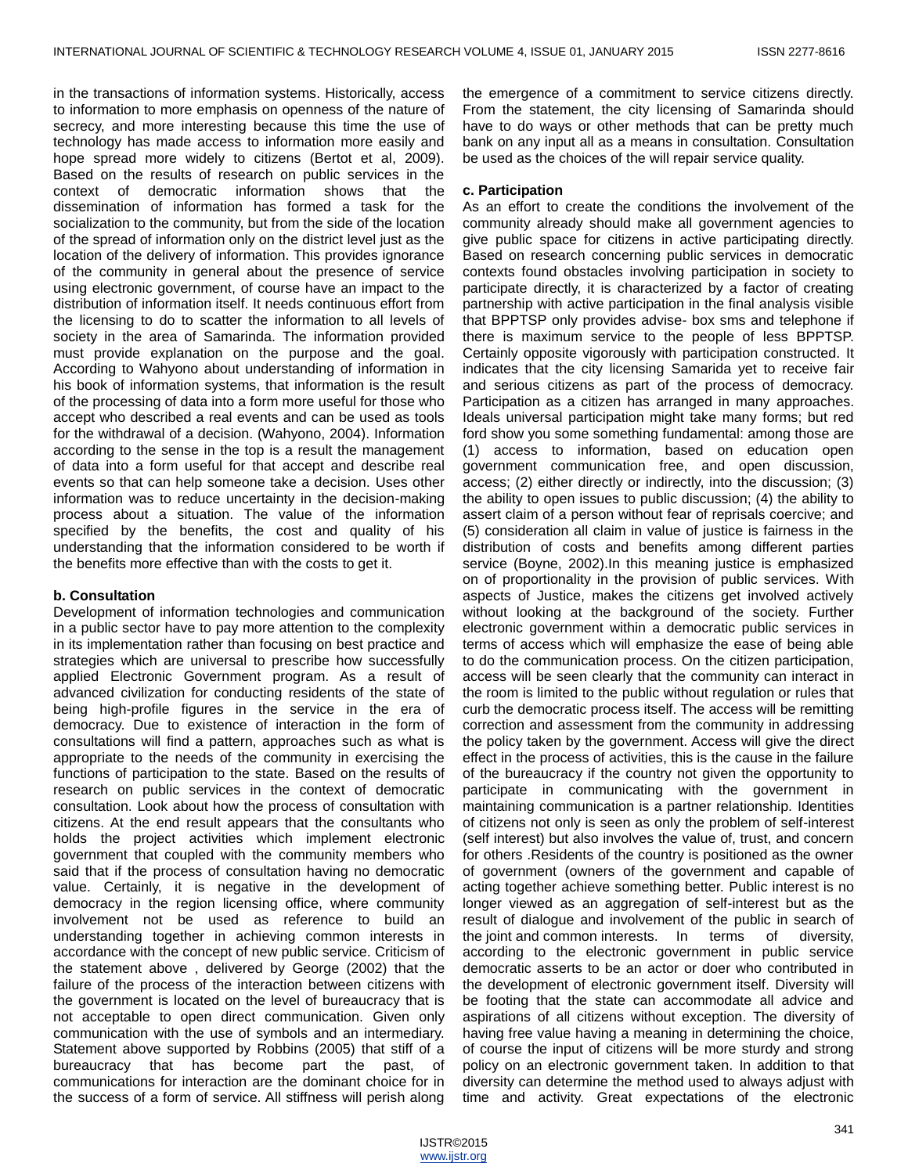in the transactions of information systems. Historically, access to information to more emphasis on openness of the nature of secrecy, and more interesting because this time the use of technology has made access to information more easily and hope spread more widely to citizens (Bertot et al, 2009). Based on the results of research on public services in the context of democratic information shows that the dissemination of information has formed a task for the socialization to the community, but from the side of the location of the spread of information only on the district level just as the location of the delivery of information. This provides ignorance of the community in general about the presence of service using electronic government, of course have an impact to the distribution of information itself. It needs continuous effort from the licensing to do to scatter the information to all levels of society in the area of Samarinda. The information provided must provide explanation on the purpose and the goal. According to Wahyono about understanding of information in his book of information systems, that information is the result of the processing of data into a form more useful for those who accept who described a real events and can be used as tools for the withdrawal of a decision. (Wahyono, 2004). Information according to the sense in the top is a result the management of data into a form useful for that accept and describe real events so that can help someone take a decision. Uses other information was to reduce uncertainty in the decision-making process about a situation. The value of the information specified by the benefits, the cost and quality of his understanding that the information considered to be worth if the benefits more effective than with the costs to get it.

# **b. Consultation**

Development of information technologies and communication in a public sector have to pay more attention to the complexity in its implementation rather than focusing on best practice and strategies which are universal to prescribe how successfully applied Electronic Government program. As a result of advanced civilization for conducting residents of the state of being high-profile figures in the service in the era of democracy. Due to existence of interaction in the form of consultations will find a pattern, approaches such as what is appropriate to the needs of the community in exercising the functions of participation to the state. Based on the results of research on public services in the context of democratic consultation. Look about how the process of consultation with citizens. At the end result appears that the consultants who holds the project activities which implement electronic government that coupled with the community members who said that if the process of consultation having no democratic value. Certainly, it is negative in the development of democracy in the region licensing office, where community involvement not be used as reference to build an understanding together in achieving common interests in accordance with the concept of new public service. Criticism of the statement above , delivered by George (2002) that the failure of the process of the interaction between citizens with the government is located on the level of bureaucracy that is not acceptable to open direct communication. Given only communication with the use of symbols and an intermediary. Statement above supported by Robbins (2005) that stiff of a bureaucracy that has become part the past, of communications for interaction are the dominant choice for in the success of a form of service. All stiffness will perish along

the emergence of a commitment to service citizens directly. From the statement, the city licensing of Samarinda should have to do ways or other methods that can be pretty much bank on any input all as a means in consultation. Consultation be used as the choices of the will repair service quality.

### **c. Participation**

As an effort to create the conditions the involvement of the community already should make all government agencies to give public space for citizens in active participating directly. Based on research concerning public services in democratic contexts found obstacles involving participation in society to participate directly, it is characterized by a factor of creating partnership with active participation in the final analysis visible that BPPTSP only provides advise- box sms and telephone if there is maximum service to the people of less BPPTSP. Certainly opposite vigorously with participation constructed. It indicates that the city licensing Samarida yet to receive fair and serious citizens as part of the process of democracy. Participation as a citizen has arranged in many approaches. Ideals universal participation might take many forms; but red ford show you some something fundamental: among those are (1) access to information, based on education open government communication free, and open discussion, access; (2) either directly or indirectly, into the discussion; (3) the ability to open issues to public discussion; (4) the ability to assert claim of a person without fear of reprisals coercive; and (5) consideration all claim in value of justice is fairness in the distribution of costs and benefits among different parties service (Boyne, 2002).In this meaning justice is emphasized on of proportionality in the provision of public services. With aspects of Justice, makes the citizens get involved actively without looking at the background of the society. Further electronic government within a democratic public services in terms of access which will emphasize the ease of being able to do the communication process. On the citizen participation, access will be seen clearly that the community can interact in the room is limited to the public without regulation or rules that curb the democratic process itself. The access will be remitting correction and assessment from the community in addressing the policy taken by the government. Access will give the direct effect in the process of activities, this is the cause in the failure of the bureaucracy if the country not given the opportunity to participate in communicating with the government in maintaining communication is a partner relationship. Identities of citizens not only is seen as only the problem of self-interest (self interest) but also involves the value of, trust, and concern for others .Residents of the country is positioned as the owner of government (owners of the government and capable of acting together achieve something better. Public interest is no longer viewed as an aggregation of self-interest but as the result of dialogue and involvement of the public in search of the joint and common interests. In terms of diversity, according to the electronic government in public service democratic asserts to be an actor or doer who contributed in the development of electronic government itself. Diversity will be footing that the state can accommodate all advice and aspirations of all citizens without exception. The diversity of having free value having a meaning in determining the choice, of course the input of citizens will be more sturdy and strong policy on an electronic government taken. In addition to that diversity can determine the method used to always adjust with time and activity. Great expectations of the electronic